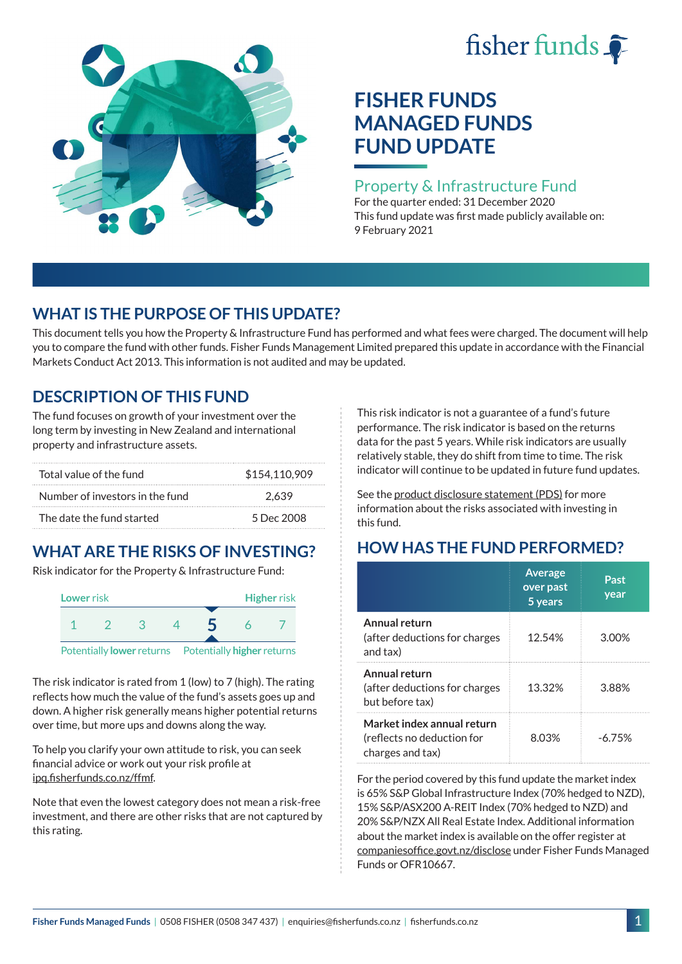# fisher funds  $\hat{\bullet}$



# **FISHER FUNDS MANAGED FUNDS FUND UPDATE**

### Property & Infrastructure Fund

For the quarter ended: 31 December 2020 This fund update was first made publicly available on: 9 February 2021

## **WHAT IS THE PURPOSE OF THIS UPDATE?**

This document tells you how the Property & Infrastructure Fund has performed and what fees were charged. The document will help you to compare the fund with other funds. Fisher Funds Management Limited prepared this update in accordance with the Financial Markets Conduct Act 2013. This information is not audited and may be updated.

## **DESCRIPTION OF THIS FUND**

The fund focuses on growth of your investment over the long term by investing in New Zealand and international property and infrastructure assets.

| Total value of the fund         | \$154,110,909 |
|---------------------------------|---------------|
| Number of investors in the fund | 2.639         |
| The date the fund started       | 5 Dec 2008    |

# **WHAT ARE THE RISKS OF INVESTING?**

Risk indicator for the Property & Infrastructure Fund:



The risk indicator is rated from 1 (low) to 7 (high). The rating reflects how much the value of the fund's assets goes up and down. A higher risk generally means higher potential returns over time, but more ups and downs along the way.

To help you clarify your own attitude to risk, you can seek financial advice or work out your risk profile at [ipq.fisherfunds.co.nz/ffmf](https://ipq.fisherfunds.co.nz/ffmf).

Note that even the lowest category does not mean a risk-free investment, and there are other risks that are not captured by this rating.

This risk indicator is not a guarantee of a fund's future performance. The risk indicator is based on the returns data for the past 5 years. While risk indicators are usually relatively stable, they do shift from time to time. The risk indicator will continue to be updated in future fund updates.

See the [product disclosure statement \(PDS\)](https://fisherfunds.co.nz/assets/PDS/Fisher-Funds-Managed-Funds-PDS.pdf) for more information about the risks associated with investing in this fund.

# **HOW HAS THE FUND PERFORMED?**

|                                                                              | <b>Average</b><br>over past<br>5 years | Past<br>year |
|------------------------------------------------------------------------------|----------------------------------------|--------------|
| Annual return<br>(after deductions for charges<br>and tax)                   | 12.54%                                 | 3.00%        |
| Annual return<br>(after deductions for charges<br>but before tax)            | 13.32%                                 | 3.88%        |
| Market index annual return<br>(reflects no deduction for<br>charges and tax) | 8.03%                                  | $-6.75%$     |

For the period covered by this fund update the market index is 65% S&P Global Infrastructure Index (70% hedged to NZD), 15% S&P/ASX200 A-REIT Index (70% hedged to NZD) and 20% S&P/NZX All Real Estate Index. Additional information about the market index is available on the offer register at [companiesoffice.govt.nz/disclose](http://companiesoffice.govt.nz/disclose) under Fisher Funds Managed Funds or OFR10667.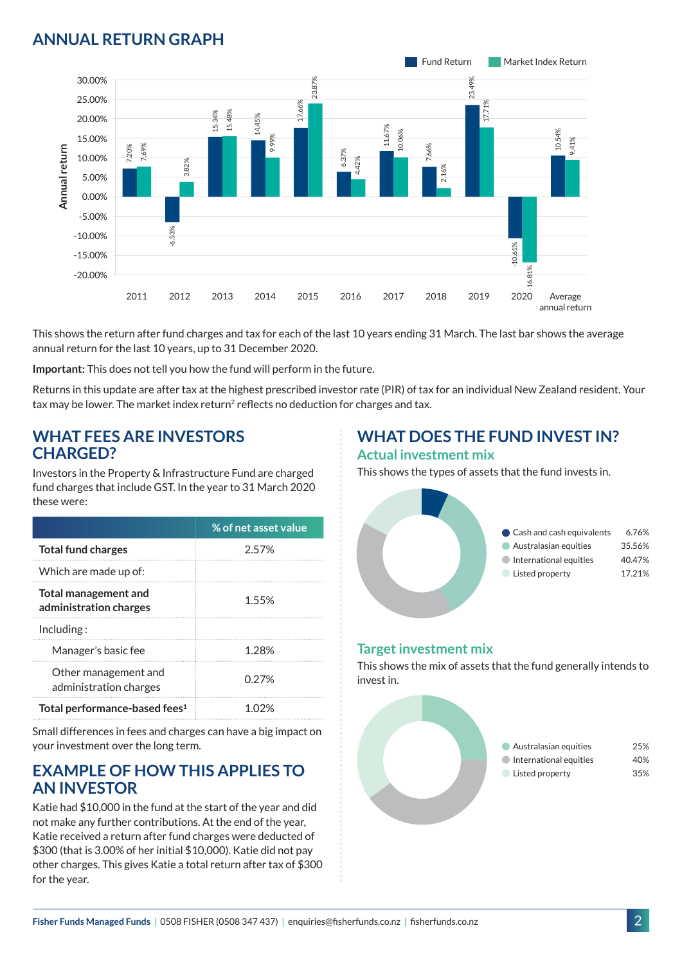## **ANNUAL RETURN GRAPH**



This shows the return after fund charges and tax for each of the last 10 years ending 31 March. The last bar shows the average annual return for the last 10 years, up to 31 December 2020.

**Important:** This does not tell you how the fund will perform in the future.

Returns in this update are after tax at the highest prescribed investor rate (PIR) of tax for an individual New Zealand resident. Your tax may be lower. The market index return<sup>2</sup> reflects no deduction for charges and tax.

#### **WHAT FEES ARE INVESTORS CHARGED?**

Investors in the Property & Infrastructure Fund are charged fund charges that include GST. In the year to 31 March 2020 these were:

|                                                | % of net asset value |
|------------------------------------------------|----------------------|
| <b>Total fund charges</b>                      | 2.57%                |
| Which are made up of:                          |                      |
| Total management and<br>administration charges | 1.55%                |
| Inding:                                        |                      |
| Manager's basic fee                            | 1 28%                |
| Other management and<br>administration charges | 0.27%                |
| Total performance-based fees <sup>1</sup>      | 1 በ'ን%               |

Small differences in fees and charges can have a big impact on your investment over the long term.

#### **EXAMPLE OF HOW THIS APPLIES TO AN INVESTOR**

Katie had \$10,000 in the fund at the start of the year and did not make any further contributions. At the end of the year, Katie received a return after fund charges were deducted of \$300 (that is 3.00% of her initial \$10,000). Katie did not pay other charges. This gives Katie a total return after tax of \$300 for the year.

# **WHAT DOES THE FUND INVEST IN?**

#### **Actual investment mix**

This shows the types of assets that the fund invests in.



#### **Target investment mix**

This shows the mix of assets that the fund generally intends to invest in.